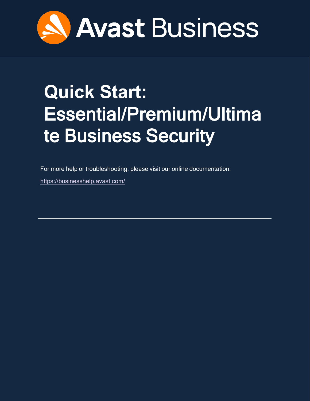

# <span id="page-0-0"></span>**Quick Start:**  Essential/Premium/Ultima te Business Security

For more help or troubleshooting, please visit our online documentation:

<https://businesshelp.avast.com/>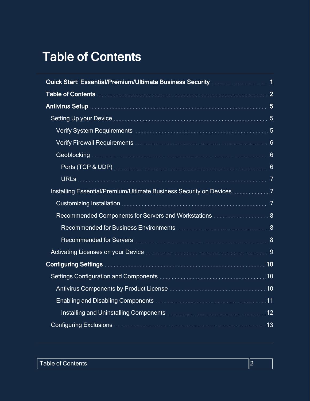# <span id="page-1-0"></span>Table of Contents

| Setting Up your Device <b>Manual According to the Setting Up your Device Manual According to Setting Up</b>             |  |
|-------------------------------------------------------------------------------------------------------------------------|--|
|                                                                                                                         |  |
|                                                                                                                         |  |
|                                                                                                                         |  |
|                                                                                                                         |  |
|                                                                                                                         |  |
| Installing Essential/Premium/Ultimate Business Security on Devices <b>Multimeral Times</b> 7                            |  |
|                                                                                                                         |  |
| Recommended Components for Servers and Workstations <b>Multipler 2018</b>                                               |  |
|                                                                                                                         |  |
|                                                                                                                         |  |
|                                                                                                                         |  |
| Configuring Settings <b>Manual Manual Configurer 10</b>                                                                 |  |
| Settings Configuration and Components <b>Manual Components</b> 2008 and 2008 and 2008 and 2008 and 2008 and 2008 and 20 |  |
|                                                                                                                         |  |
|                                                                                                                         |  |
|                                                                                                                         |  |
|                                                                                                                         |  |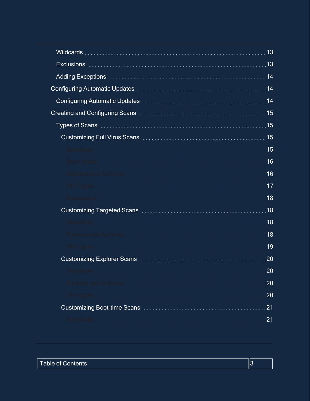|                                                                                                                                                                               | 13  |
|-------------------------------------------------------------------------------------------------------------------------------------------------------------------------------|-----|
|                                                                                                                                                                               | 13  |
|                                                                                                                                                                               | .14 |
| Configuring Automatic Updates <b>Manual Action Configuring Automatic Updates</b>                                                                                              | 14  |
|                                                                                                                                                                               |     |
|                                                                                                                                                                               | .15 |
|                                                                                                                                                                               | 15  |
|                                                                                                                                                                               | 15  |
| Sensitivity <b>Sensitivity Constitution Constitution Constitution Constitution Constitution Constitution Constitution Constitution Constitution Constitution Constitution</b> | 15  |
| Scan Areas                                                                                                                                                                    | 16  |
| Packers and Archives                                                                                                                                                          | 16  |
| File Types                                                                                                                                                                    | 17  |
| Exceptions                                                                                                                                                                    | 18  |
|                                                                                                                                                                               | 18  |
| Sensitivity <b>Sensitivity</b> Sensitivity <b>Sensitivity Sensitivity Constitution Constitution</b>                                                                           | 18  |
|                                                                                                                                                                               | 18  |
| <b>File Types</b>                                                                                                                                                             | 19  |
|                                                                                                                                                                               | 20  |
| Sensitivitv                                                                                                                                                                   | 20  |
| <b>Packers and Archives</b>                                                                                                                                                   | 20  |
| <b>File Types</b>                                                                                                                                                             | 20  |
|                                                                                                                                                                               | 21  |
| <b>Sensitivity</b>                                                                                                                                                            | 21  |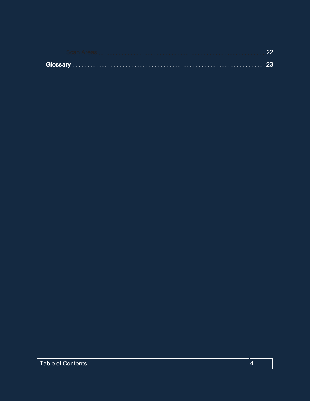| Glossary | -251 |
|----------|------|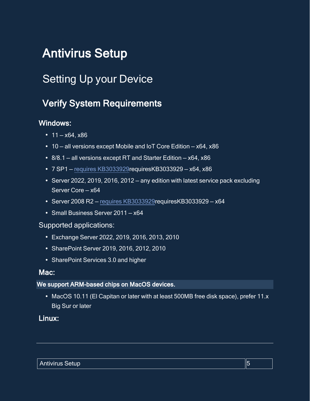# <span id="page-4-1"></span><span id="page-4-0"></span>Antivirus Setup

# <span id="page-4-2"></span>Setting Up your Device

# Verify System Requirements

# Windows:

- $11 x64$ ,  $x86$
- $\cdot$  10 all versions except Mobile and IoT Core Edition x64, x86
- 8/8.1 all versions except RT and Starter Edition  $x64$ ,  $x86$
- $\cdot$  7 SP1 requires [KB3033929](AV213Reqs.htm) requires KB3033929 x64, x86
- Server 2022, 2019, 2016, 2012 any edition with latest service pack excluding Server Core — x64
- $\cdot$  Server 2008 R2 requires [KB3033929](AV213Reqs.htm)requiresKB3033929 x64
- Small Business Server 2011 x64

### Supported applications:

- <sup>l</sup> Exchange Server 2022, 2019, 2016, 2013, 2010
- SharePoint Server 2019, 2016, 2012, 2010
- SharePoint Services 3.0 and higher

### Mac:

### We support ARM-based chips on MacOS devices.

• MacOS 10.11 (El Capitan or later with at least 500MB free disk space), prefer 11.x Big Sur or later

# Linux: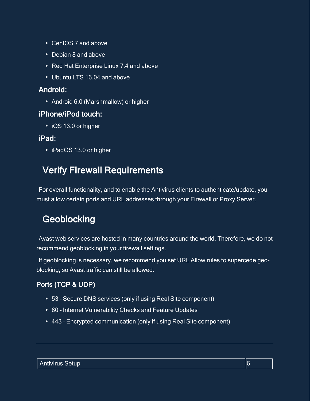- CentOS 7 and above
- Debian 8 and above
- Red Hat Enterprise Linux 7.4 and above
- Ubuntu LTS 16.04 and above

# Android:

• Android 6.0 (Marshmallow) or higher

# iPhone/iPod touch:

• iOS 13.0 or higher

# iPad:

<span id="page-5-0"></span>• iPadOS 13.0 or higher

# Verify Firewall Requirements

<span id="page-5-1"></span>For overall functionality, and to enable the Antivirus clients to authenticate/update, you must allow certain ports and URL addresses through your Firewall or Proxy Server.

# **Geoblocking**

Avast web services are hosted in many countries around the world. Therefore, we do not recommend geoblocking in your firewall settings.

If geoblocking is necessary, we recommend you set URL Allow rules to supercede geoblocking, so Avast traffic can still be allowed.

# <span id="page-5-2"></span>Ports (TCP & UDP)

- 53 Secure DNS services (only if using Real Site component)
- 80 Internet Vulnerability Checks and Feature Updates
- 443 Encrypted communication (only if using Real Site component)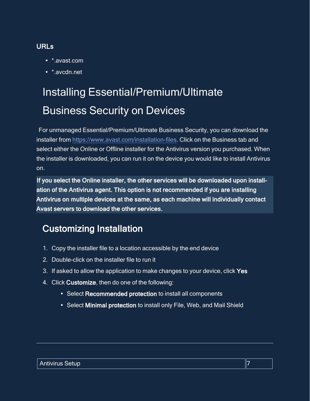# <span id="page-6-0"></span>URLs

- \* avast com
- <span id="page-6-1"></span>• \*.avcdn.net

# Installing Essential/Premium/Ultimate Business Security on Devices

For unmanaged Essential/Premium/Ultimate Business Security, you can download the installer from [https://www.avast.com/installation-files.](https://www.avast.com/installation-files) Click on the Business tab and select either the Online or Offline installer for the Antivirus version you purchased. When the installer is downloaded, you can run it on the device you would like to install Antivirus on.

If you select the Online installer, the other services will be downloaded upon installation of the Antivirus agent. This option is not recommended if you are installing Antivirus on multiple devices at the same, as each machine will individually contact Avast servers to download the other services.

# <span id="page-6-2"></span>Customizing Installation

- 1. Copy the installer file to a location accessible by the end device
- 2. Double-click on the installer file to run it
- 3. If asked to allow the application to make changes to your device, click Yes
- 4. Click Customize, then do one of the following:
	- Select Recommended protection to install all components
	- Select Minimal protection to install only File, Web, and Mail Shield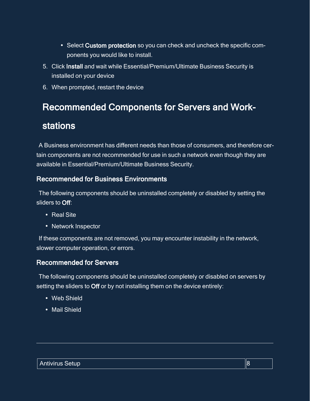- Select Custom protection so you can check and uncheck the specific components you would like to install.
- 5. Click Install and wait while Essential/Premium/Ultimate Business Security is installed on your device
- <span id="page-7-0"></span>6. When prompted, restart the device

# Recommended Components for Servers and Work-

# stations

A Business environment has different needs than those of consumers, and therefore certain components are not recommended for use in such a network even though they are available in Essential/Premium/Ultimate Business Security.

# <span id="page-7-1"></span>Recommended for Business Environments

The following components should be uninstalled completely or disabled by setting the sliders to Off:

- Real Site
- Network Inspector

If these components are not removed, you may encounter instability in the network, slower computer operation, or errors.

# <span id="page-7-2"></span>Recommended for Servers

The following components should be uninstalled completely or disabled on servers by setting the sliders to Off or by not installing them on the device entirely:

- Web Shield
- Mail Shield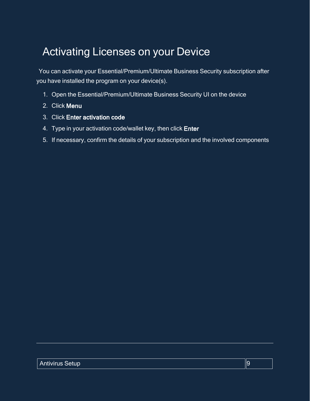# <span id="page-8-0"></span>Activating Licenses on your Device

You can activate your Essential/Premium/Ultimate Business Security subscription after you have installed the program on your device(s).

- 1. Open the Essential/Premium/Ultimate Business Security UI on the device
- 2. Click Menu
- 3. Click Enter activation code
- 4. Type in your activation code/wallet key, then click Enter
- 5. If necessary, confirm the details of your subscription and the involved components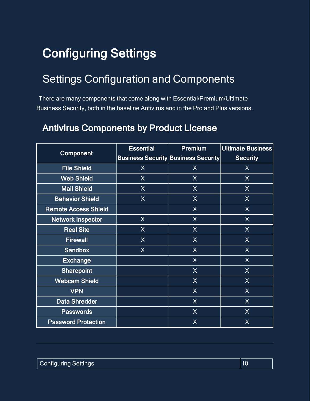# <span id="page-9-1"></span><span id="page-9-0"></span>Configuring Settings

# Settings Configuration and Components

<span id="page-9-2"></span>There are many components that come along with Essential/Premium/Ultimate Business Security, both in the baseline Antivirus and in the Pro and Plus versions.

# Antivirus Components by Product License

| Component                   | <b>Essential</b> | Premium                                    | Ultimate Business |
|-----------------------------|------------------|--------------------------------------------|-------------------|
|                             |                  | <b>Business Security Business Security</b> | <b>Security</b>   |
| <b>File Shield</b>          | X                | X                                          | X                 |
| <b>Web Shield</b>           | X                | $\sf X$                                    | X                 |
| <b>Mail Shield</b>          | X                | X                                          | X                 |
| <b>Behavior Shield</b>      | X                | X                                          | X                 |
| <b>Remote Access Shield</b> |                  | X                                          | X                 |
| <b>Network Inspector</b>    | X                | X                                          | X                 |
| <b>Real Site</b>            | X                | X                                          | X                 |
| <b>Firewall</b>             | X                | $\mathsf{X}$                               | X                 |
| <b>Sandbox</b>              | X                | X                                          | X                 |
| <b>Exchange</b>             |                  | X                                          | X                 |
| <b>Sharepoint</b>           |                  | X                                          | X                 |
| <b>Webcam Shield</b>        |                  | X                                          | X                 |
| <b>VPN</b>                  |                  | X                                          | X                 |
| <b>Data Shredder</b>        |                  | X                                          | X                 |
| <b>Passwords</b>            |                  | X                                          | X                 |
| <b>Password Protection</b>  |                  | $\sf X$                                    | X                 |

| <b>Configuring Settings</b> | ∥10 |
|-----------------------------|-----|
|                             |     |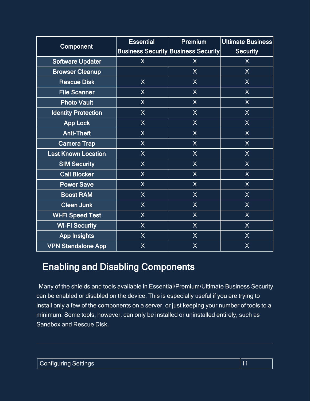| Component                  | <b>Essential</b> | <b>Premium</b>                             | Ultimate Business |
|----------------------------|------------------|--------------------------------------------|-------------------|
|                            |                  | <b>Business Security Business Security</b> | <b>Security</b>   |
| <b>Software Updater</b>    | $\overline{X}$   | $\sf X$                                    | $\overline{X}$    |
| <b>Browser Cleanup</b>     |                  | X                                          | X                 |
| <b>Rescue Disk</b>         | $\sf X$          | $\sf X$                                    | $\mathsf{X}$      |
| <b>File Scanner</b>        | $\sf X$          | $\overline{\mathsf{X}}$                    | $\sf X$           |
| <b>Photo Vault</b>         | $\sf X$          | $\sf X$                                    | $\mathsf{X}$      |
| <b>Identity Protection</b> | $\sf X$          | $\sf X$                                    | X                 |
| <b>App Lock</b>            | $\sf X$          | $\sf X$                                    | $\sf X$           |
| <b>Anti-Theft</b>          | $\mathsf{X}$     | $\sf X$                                    | X                 |
| <b>Camera Trap</b>         | $\sf X$          | $\sf X$                                    | $\sf X$           |
| <b>Last Known Location</b> | $\sf X$          | $\sf X$                                    | $\sf X$           |
| <b>SIM Security</b>        | $\sf X$          | $\sf X$                                    | X                 |
| <b>Call Blocker</b>        | $\overline{X}$   | $\sf X$                                    | X                 |
| <b>Power Save</b>          | $\sf X$          | $\mathsf{X}$                               | $\sf X$           |
| <b>Boost RAM</b>           | $\mathsf{X}$     | $\overline{\mathsf{X}}$                    | $\mathsf{X}$      |
| <b>Clean Junk</b>          | $\sf X$          | $\sf X$                                    | X                 |
| <b>Wi-Fi Speed Test</b>    | $\sf X$          | $\mathsf{X}$                               | $\mathsf{X}$      |
| <b>Wi-Fi Security</b>      | $\mathsf{X}$     | $\mathsf{X}$                               | X                 |
| <b>App Insights</b>        | $\sf X$          | $\mathsf{X}$                               | $\sf X$           |
| <b>VPN Standalone App</b>  | $\sf X$          | $\sf X$                                    | $\sf X$           |

# <span id="page-10-0"></span>Enabling and Disabling Components

Many of the shields and tools available in Essential/Premium/Ultimate Business Security can be enabled or disabled on the device. This is especially useful if you are trying to install only a few of the components on a server, or just keeping your number of tools to a minimum. Some tools, however, can only be installed or uninstalled entirely, such as Sandbox and Rescue Disk.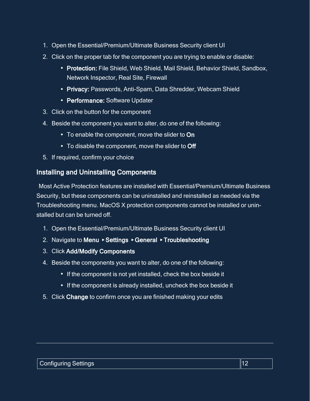- 1. Open the Essential/Premium/Ultimate Business Security client UI
- 2. Click on the proper tab for the component you are trying to enable or disable:
	- Protection: File Shield, Web Shield, Mail Shield, Behavior Shield, Sandbox, Network Inspector, Real Site, Firewall
	- Privacy: Passwords, Anti-Spam, Data Shredder, Webcam Shield
	- Performance: Software Updater
- 3. Click on the button for the component
- 4. Beside the component you want to alter, do one of the following:
	- To enable the component, move the slider to On
	- $\bullet$  To disable the component, move the slider to Off
- <span id="page-11-0"></span>5. If required, confirm your choice

# Installing and Uninstalling Components

Most Active Protection features are installed with Essential/Premium/Ultimate Business Security, but these components can be uninstalled and reinstalled as needed via the Troubleshooting menu. MacOS X protection components cannot be installed or uninstalled but can be turned off.

- 1. Open the Essential/Premium/Ultimate Business Security client UI
- 2. Navigate to Menu ▸ Settings ▸ General ▸ Troubleshooting
- 3. Click Add/Modify Components
- 4. Beside the components you want to alter, do one of the following:
	- If the component is not yet installed, check the box beside it
	- If the component is already installed, uncheck the box beside it
- 5. Click Change to confirm once you are finished making your edits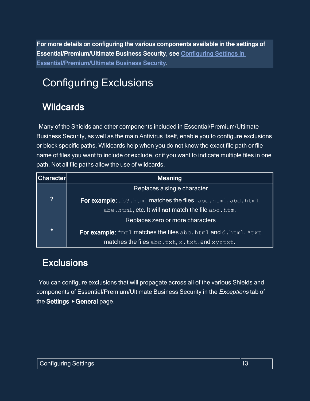<span id="page-12-0"></span>For more details on configuring the various components available in the settings of Essential/Premium/Ultimate Business Security, see [Configuring Settings in](https://businesshelp.avast.com/Content/ArticleLists/AfB_Antivirus/ConfiguringSettings.htm)  [Essential/Premium/Ultimate Business Security.](https://businesshelp.avast.com/Content/ArticleLists/AfB_Antivirus/ConfiguringSettings.htm)

# <span id="page-12-1"></span>Configuring Exclusions

# **Wildcards**

Many of the Shields and other components included in Essential/Premium/Ultimate Business Security, as well as the main Antivirus itself, enable you to configure exclusions or block specific paths. Wildcards help when you do not know the exact file path or file name of files you want to include or exclude, or if you want to indicate multiple files in one path. Not all file paths allow the use of wildcards.

| Character | Meaning                                                              |
|-----------|----------------------------------------------------------------------|
|           | Replaces a single character                                          |
| ?         | <b>For example:</b> ab?.html matches the files abc.html, abd.html,   |
|           | abe.html, etc. It will not match the file abc.htm.                   |
|           | Replaces zero or more characters                                     |
| $\star$   | <b>For example:</b> *mtl matches the files abc.html and d.html. *txt |
|           | matches the files abc.txt, x.txt, and xyztxt.                        |

# <span id="page-12-2"></span>**Exclusions**

You can configure exclusions that will propagate across all of the various Shields and components of Essential/Premium/Ultimate Business Security in the Exceptions tab of the Settings ▶ General page.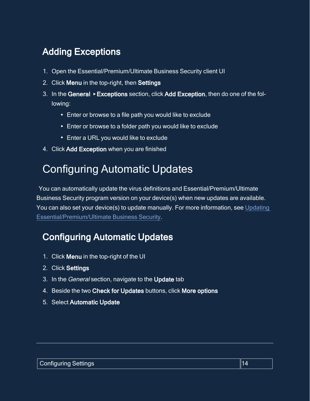# <span id="page-13-0"></span>Adding Exceptions

- 1. Open the Essential/Premium/Ultimate Business Security client UI
- 2. Click Menu in the top-right, then Settings
- 3. In the General ▸ Exceptions section, click Add Exception, then do one of the following:
	- Enter or browse to a file path you would like to exclude
	- Enter or browse to a folder path you would like to exclude
	- Enter a URL you would like to exclude
- <span id="page-13-1"></span>4. Click Add Exception when you are finished

# Configuring Automatic Updates

You can automatically update the virus definitions and Essential/Premium/Ultimate Business Security program version on your device(s) when new updates are available. You can also set your device(s) to update manually. For more information, see [Updating](https://businesshelp.avast.com/Content/Products/AfB_Antivirus/AntivirusManagement/UpdatingAvastBusinessAntivirus.htm) [Essential/Premium/Ultimate](https://businesshelp.avast.com/Content/Products/AfB_Antivirus/AntivirusManagement/UpdatingAvastBusinessAntivirus.htm) Business Security.

# <span id="page-13-2"></span>Configuring Automatic Updates

- 1. Click Menu in the top-right of the UI
- 2. Click Settings
- 3. In the General section, navigate to the Update tab
- 4. Beside the two Check for Updates buttons, click More options
- 5. Select Automatic Update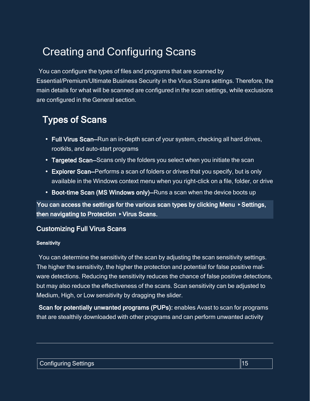# <span id="page-14-0"></span>Creating and Configuring Scans

You can configure the types of files and programs that are scanned by Essential/Premium/Ultimate Business Security in the Virus Scans settings. Therefore, the main details for what will be scanned are configured in the scan settings, while exclusions are configured in the General section.

# <span id="page-14-1"></span>Types of Scans

- Full Virus Scan–Run an in-depth scan of your system, checking all hard drives, rootkits, and auto-start programs
- Targeted Scan–Scans only the folders you select when you initiate the scan
- Explorer Scan–Performs a scan of folders or drives that you specify, but is only available in the Windows context menu when you right-click on a file, folder, or drive
- Boot-time Scan (MS Windows only)–Runs a scan when the device boots up

You can access the settings for the various scan types by clicking Menu ▸ Settings, then navigating to Protection ▸ Virus Scans.

### <span id="page-14-3"></span><span id="page-14-2"></span>Customizing Full Virus Scans

#### **Sensitivity**

You can determine the sensitivity of the scan by adjusting the scan sensitivity settings. The higher the sensitivity, the higher the protection and potential for false positive malware detections. Reducing the sensitivity reduces the chance of false positive detections, but may also reduce the effectiveness of the scans. Scan sensitivity can be adjusted to Medium, High, or Low sensitivity by dragging the slider.

Scan for potentially unwanted programs (PUPs): enables Avast to scan for programs that are stealthily downloaded with other programs and can perform unwanted activity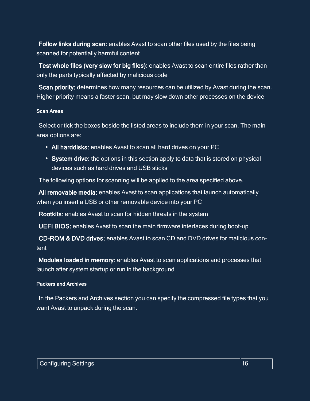Follow links during scan: enables Avast to scan other files used by the files being scanned for potentially harmful content

Test whole files (very slow for big files): enables Avast to scan entire files rather than only the parts typically affected by malicious code

Scan priority: determines how many resources can be utilized by Avast during the scan. Higher priority means a faster scan, but may slow down other processes on the device

#### <span id="page-15-0"></span>Scan Areas

Select or tick the boxes beside the listed areas to include them in your scan. The main area options are:

- All harddisks: enables Avast to scan all hard drives on your PC
- System drive: the options in this section apply to data that is stored on physical devices such as hard drives and USB sticks

The following options for scanning will be applied to the area specified above.

All removable media: enables Avast to scan applications that launch automatically when you insert a USB or other removable device into your PC

Rootkits: enables Avast to scan for hidden threats in the system

UEFI BIOS: enables Avast to scan the main firmware interfaces during boot-up

CD-ROM & DVD drives: enables Avast to scan CD and DVD drives for malicious content

Modules loaded in memory: enables Avast to scan applications and processes that launch after system startup or run in the background

#### <span id="page-15-1"></span>Packers and Archives

In the Packers and Archives section you can specify the compressed file types that you want Avast to unpack during the scan.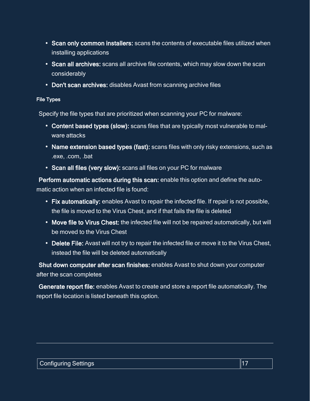- Scan only common installers: scans the contents of executable files utilized when installing applications
- Scan all archives: scans all archive file contents, which may slow down the scan considerably
- <span id="page-16-0"></span>• Don't scan archives: disables Avast from scanning archive files

#### File Types

Specify the file types that are prioritized when scanning your PC for malware:

- Content based types (slow): scans files that are typically most vulnerable to malware attacks
- Name extension based types (fast): scans files with only risky extensions, such as .exe, .com, .bat
- Scan all files (very slow): scans all files on your PC for malware

Perform automatic actions during this scan: enable this option and define the automatic action when an infected file is found:

- Fix automatically: enables Avast to repair the infected file. If repair is not possible, the file is moved to the Virus Chest, and if that fails the file is deleted
- Move file to Virus Chest: the infected file will not be repaired automatically, but will be moved to the Virus Chest
- Delete File: Avast will not try to repair the infected file or move it to the Virus Chest, instead the file will be deleted automatically

Shut down computer after scan finishes: enables Avast to shut down your computer after the scan completes

Generate report file: enables Avast to create and store a report file automatically. The report file location is listed beneath this option.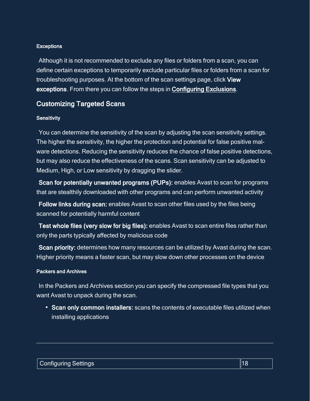#### <span id="page-17-0"></span>**Exceptions**

Although it is not recommended to exclude any files or folders from a scan, you can define certain exceptions to temporarily exclude particular files or folders from a scan for troubleshooting purposes. At the bottom of the scan settings page, click View exceptions. From there you can follow the steps in [Configuring Exclusions](#page-12-0).

### <span id="page-17-2"></span><span id="page-17-1"></span>Customizing Targeted Scans

#### **Sensitivity**

You can determine the sensitivity of the scan by adjusting the scan sensitivity settings. The higher the sensitivity, the higher the protection and potential for false positive malware detections. Reducing the sensitivity reduces the chance of false positive detections, but may also reduce the effectiveness of the scans. Scan sensitivity can be adjusted to Medium, High, or Low sensitivity by dragging the slider.

Scan for potentially unwanted programs (PUPs): enables Avast to scan for programs that are stealthily downloaded with other programs and can perform unwanted activity

Follow links during scan: enables Avast to scan other files used by the files being scanned for potentially harmful content

Test whole files (very slow for big files): enables Avast to scan entire files rather than only the parts typically affected by malicious code

Scan priority: determines how many resources can be utilized by Avast during the scan. Higher priority means a faster scan, but may slow down other processes on the device

#### <span id="page-17-3"></span>Packers and Archives

In the Packers and Archives section you can specify the compressed file types that you want Avast to unpack during the scan.

• Scan only common installers: scans the contents of executable files utilized when installing applications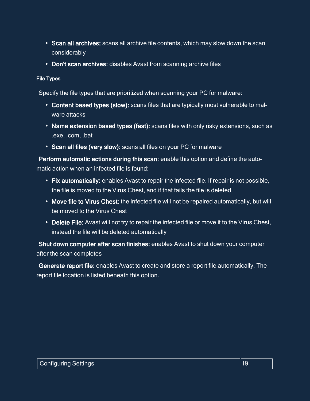- Scan all archives: scans all archive file contents, which may slow down the scan considerably
- <span id="page-18-0"></span>• Don't scan archives: disables Avast from scanning archive files

#### File Types

Specify the file types that are prioritized when scanning your PC for malware:

- Content based types (slow): scans files that are typically most vulnerable to malware attacks
- Name extension based types (fast): scans files with only risky extensions, such as .exe, .com, .bat
- Scan all files (very slow): scans all files on your PC for malware

Perform automatic actions during this scan: enable this option and define the automatic action when an infected file is found:

- Fix automatically: enables Avast to repair the infected file. If repair is not possible, the file is moved to the Virus Chest, and if that fails the file is deleted
- Move file to Virus Chest: the infected file will not be repaired automatically, but will be moved to the Virus Chest
- Delete File: Avast will not try to repair the infected file or move it to the Virus Chest, instead the file will be deleted automatically

Shut down computer after scan finishes: enables Avast to shut down your computer after the scan completes

Generate report file: enables Avast to create and store a report file automatically. The report file location is listed beneath this option.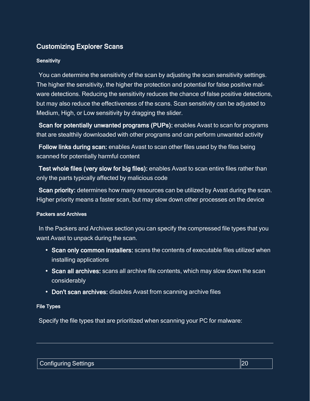# <span id="page-19-1"></span><span id="page-19-0"></span>Customizing Explorer Scans

#### **Sensitivity**

You can determine the sensitivity of the scan by adjusting the scan sensitivity settings. The higher the sensitivity, the higher the protection and potential for false positive malware detections. Reducing the sensitivity reduces the chance of false positive detections, but may also reduce the effectiveness of the scans. Scan sensitivity can be adjusted to Medium, High, or Low sensitivity by dragging the slider.

Scan for potentially unwanted programs (PUPs): enables Avast to scan for programs that are stealthily downloaded with other programs and can perform unwanted activity

Follow links during scan: enables Avast to scan other files used by the files being scanned for potentially harmful content

Test whole files (very slow for big files): enables Avast to scan entire files rather than only the parts typically affected by malicious code

Scan priority: determines how many resources can be utilized by Avast during the scan. Higher priority means a faster scan, but may slow down other processes on the device

#### <span id="page-19-2"></span>Packers and Archives

In the Packers and Archives section you can specify the compressed file types that you want Avast to unpack during the scan.

- Scan only common installers: scans the contents of executable files utilized when installing applications
- Scan all archives: scans all archive file contents, which may slow down the scan considerably
- <span id="page-19-3"></span>• Don't scan archives: disables Avast from scanning archive files

#### File Types

Specify the file types that are prioritized when scanning your PC for malware: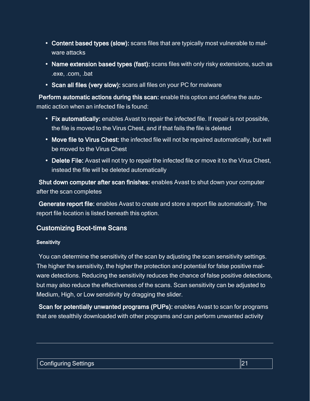- Content based types (slow): scans files that are typically most vulnerable to malware attacks
- Name extension based types (fast): scans files with only risky extensions, such as .exe, .com, .bat
- Scan all files (very slow): scans all files on your PC for malware

Perform automatic actions during this scan: enable this option and define the automatic action when an infected file is found:

- Fix automatically: enables Avast to repair the infected file. If repair is not possible, the file is moved to the Virus Chest, and if that fails the file is deleted
- Move file to Virus Chest: the infected file will not be repaired automatically, but will be moved to the Virus Chest
- Delete File: Avast will not try to repair the infected file or move it to the Virus Chest, instead the file will be deleted automatically

Shut down computer after scan finishes: enables Avast to shut down your computer after the scan completes

Generate report file: enables Avast to create and store a report file automatically. The report file location is listed beneath this option.

# <span id="page-20-1"></span><span id="page-20-0"></span>Customizing Boot-time Scans

#### **Sensitivity**

You can determine the sensitivity of the scan by adjusting the scan sensitivity settings. The higher the sensitivity, the higher the protection and potential for false positive malware detections. Reducing the sensitivity reduces the chance of false positive detections, but may also reduce the effectiveness of the scans. Scan sensitivity can be adjusted to Medium, High, or Low sensitivity by dragging the slider.

Scan for potentially unwanted programs (PUPs): enables Avast to scan for programs that are stealthily downloaded with other programs and can perform unwanted activity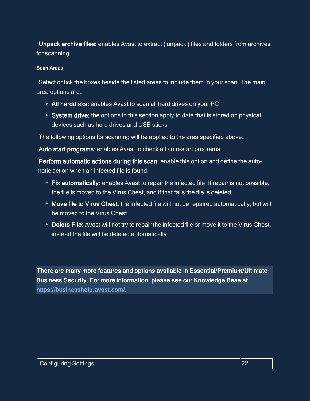Unpack archive files: enables Avast to extract ('unpack') files and folders from archives for scanning

#### <span id="page-21-0"></span>Scan Areas

Select or tick the boxes beside the listed areas to include them in your scan. The main area options are:

- All harddisks: enables Avast to scan all hard drives on your PC
- System drive: the options in this section apply to data that is stored on physical devices such as hard drives and USB sticks

The following options for scanning will be applied to the area specified above.

Auto start programs: enables Avast to check all auto-start programs

Perform automatic actions during this scan: enable this option and define the automatic action when an infected file is found:

- Fix automatically: enables Avast to repair the infected file. If repair is not possible, the file is moved to the Virus Chest, and if that fails the file is deleted
- Move file to Virus Chest: the infected file will not be repaired automatically, but will be moved to the Virus Chest
- Delete File: Avast will not try to repair the infected file or move it to the Virus Chest, instead the file will be deleted automatically

There are many more features and options available in Essential/Premium/Ultimate Business Security. For more information, please see our Knowledge Base at <https://businesshelp.avast.com/>.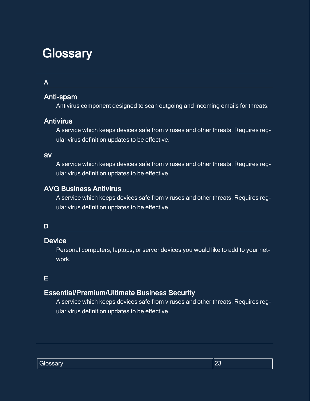# <span id="page-22-0"></span>**Glossary**

### A

# Anti-spam

Antivirus component designed to scan outgoing and incoming emails for threats.

### **Antivirus**

A service which keeps devices safe from viruses and other threats. Requires regular virus definition updates to be effective.

#### av

A service which keeps devices safe from viruses and other threats. Requires regular virus definition updates to be effective.

## AVG Business Antivirus

A service which keeps devices safe from viruses and other threats. Requires regular virus definition updates to be effective.

#### D

### **Device**

Personal computers, laptops, or server devices you would like to add to your network.

### E

# Essential/Premium/Ultimate Business Security

A service which keeps devices safe from viruses and other threats. Requires regular virus definition updates to be effective.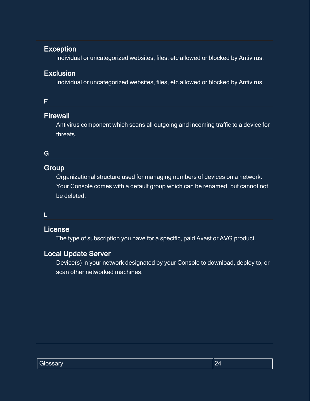## **Exception**

Individual or uncategorized websites, files, etc allowed or blocked by Antivirus.

## **Exclusion**

Individual or uncategorized websites, files, etc allowed or blocked by Antivirus.

### F

### **Firewall**

Antivirus component which scans all outgoing and incoming traffic to a device for threats.

# G

# **Group**

Organizational structure used for managing numbers of devices on a network. Your Console comes with a default group which can be renamed, but cannot not be deleted.

### L

### License

The type of subscription you have for a specific, paid Avast or AVG product.

# Local Update Server

Device(s) in your network designated by your Console to download, deploy to, or scan other networked machines.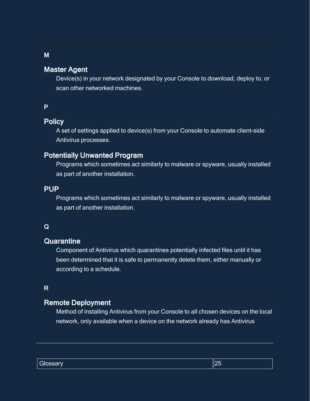## Master Agent

Device(s) in your network designated by your Console to download, deploy to, or scan other networked machines.

#### P

# **Policy**

A set of settings applied to device(s) from your Console to automate client-side Antivirus processes.

## Potentially Unwanted Program

Programs which sometimes act similarly to malware or spyware, usually installed as part of another installation.

#### PUP

Programs which sometimes act similarly to malware or spyware, usually installed as part of another installation.

#### Q

#### **Quarantine**

Component of Antivirus which quarantines potentially infected files until it has been determined that it is safe to permanently delete them, either manually or according to a schedule.

### R

### Remote Deployment

Method of installing Antivirus from your Console to all chosen devices on the local network, only available when a device on the network already has Antivirus